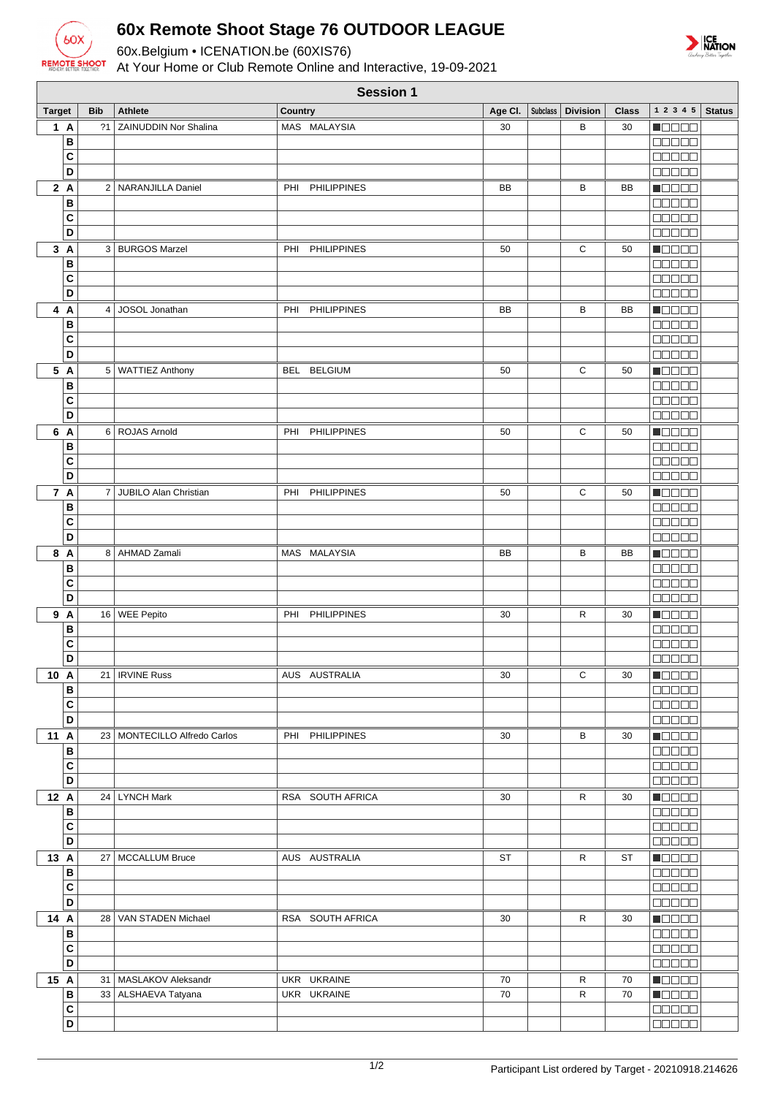

## **60x Remote Shoot Stage 76 OUTDOOR LEAGUE**

60x.Belgium • ICENATION.be (60XIS76)

At Your Home or Club Remote Online and Interactive, 19-09-2021



|                | <b>Session 1</b> |                                |                           |    |  |                               |              |                                                             |               |
|----------------|------------------|--------------------------------|---------------------------|----|--|-------------------------------|--------------|-------------------------------------------------------------|---------------|
| <b>Target</b>  | <b>Bib</b>       | <b>Athlete</b>                 | Country                   |    |  | Age Cl.   Subclass   Division | <b>Class</b> | 1 2 3 4 5                                                   | <b>Status</b> |
| 1A             | ?1               | <b>ZAINUDDIN Nor Shalina</b>   | MAS MALAYSIA              | 30 |  | B                             | 30           | <b>NOOOO</b>                                                |               |
| B              |                  |                                |                           |    |  |                               |              | $\Box$ $\Box$ $\Box$ $\Box$ $\Box$                          |               |
| C              |                  |                                |                           |    |  |                               |              | an sa s                                                     |               |
| D              |                  |                                |                           |    |  |                               |              | an a a a                                                    |               |
| 2A             |                  | 2   NARANJILLA Daniel          | PHI<br><b>PHILIPPINES</b> | BB |  | В                             | BB           | <b>Mana</b>                                                 |               |
| B              |                  |                                |                           |    |  |                               |              | $\Box$ $\Box$ $\Box$ $\Box$                                 |               |
| C              |                  |                                |                           |    |  |                               |              | <b>BBBBB</b>                                                |               |
| D              |                  |                                |                           |    |  |                               |              | <b>00000</b>                                                |               |
| 3A             |                  | 3   BURGOS Marzel              | <b>PHILIPPINES</b><br>PHI | 50 |  | С                             | 50           | Maaaa                                                       |               |
| B              |                  |                                |                           |    |  |                               |              | <b>00000</b>                                                |               |
| C              |                  |                                |                           |    |  |                               |              | 00000                                                       |               |
| D              |                  |                                |                           |    |  |                               |              | 00000                                                       |               |
| 4 A            | 4                | JOSOL Jonathan                 | PHILIPPINES<br>PHI        | BB |  | в                             | BB           | N BE E E                                                    |               |
| B              |                  |                                |                           |    |  |                               |              | 00000                                                       |               |
| C              |                  |                                |                           |    |  |                               |              | 00000                                                       |               |
| D              |                  |                                |                           |    |  |                               |              | 00000                                                       |               |
| 5 A            |                  | 5   WATTIEZ Anthony            | BEL BELGIUM               | 50 |  | С                             | 50           | <b>MODOO</b>                                                |               |
| В              |                  |                                |                           |    |  |                               |              | <b>00000</b>                                                |               |
| C              |                  |                                |                           |    |  |                               |              | <b>BBBBB</b>                                                |               |
| D              |                  |                                |                           |    |  |                               |              | <b>BBBBB</b>                                                |               |
| 6 A            |                  | 6 ROJAS Arnold                 | PHI PHILIPPINES           | 50 |  | С                             | 50           | <b>RECOR</b>                                                |               |
| B              |                  |                                |                           |    |  |                               |              | $\Box$ $\Box$ $\Box$ $\Box$ $\Box$                          |               |
| C              |                  |                                |                           |    |  |                               |              | <b>COOCO</b>                                                |               |
| $\overline{D}$ |                  |                                |                           |    |  |                               |              | aa aa                                                       |               |
| 7 A            | 7                | JUBILO Alan Christian          | <b>PHILIPPINES</b><br>PHI | 50 |  | С                             | 50           | MODO B                                                      |               |
| B              |                  |                                |                           |    |  |                               |              | <b>BEBEE</b>                                                |               |
| C              |                  |                                |                           |    |  |                               |              | an da s                                                     |               |
| $\overline{D}$ |                  |                                |                           |    |  |                               |              | 00000                                                       |               |
| 8 A            |                  | 8   AHMAD Zamali               | MAS MALAYSIA              | BB |  | В                             | BB           | Maaaa                                                       |               |
| B              |                  |                                |                           |    |  |                               |              | 00000                                                       |               |
| C<br>D         |                  |                                |                           |    |  |                               |              | 00000<br><b>OBBER</b>                                       |               |
|                |                  |                                |                           |    |  |                               |              |                                                             |               |
| 9 A<br>B       |                  | 16 WEE Pepito                  | <b>PHILIPPINES</b><br>PHI | 30 |  | R                             | 30           | <b>N</b> OOOO<br>00000                                      |               |
| C              |                  |                                |                           |    |  |                               |              | 8000a                                                       |               |
| D              |                  |                                |                           |    |  |                               |              | 00000                                                       |               |
| 10 A           |                  | 21   IRVINE Russ               | AUS AUSTRALIA             | 30 |  | С                             | 30           | <b>NOCES</b>                                                |               |
| B              |                  |                                |                           |    |  |                               |              | <b>ROBBE</b>                                                |               |
| C              |                  |                                |                           |    |  |                               |              |                                                             |               |
| D              |                  |                                |                           |    |  |                               |              | $\Box \Box \Box \Box \Box$                                  |               |
| 11 A           |                  | 23   MONTECILLO Alfredo Carlos | PHI PHILIPPINES           | 30 |  | В                             | 30           | $\blacksquare$                                              |               |
| B              |                  |                                |                           |    |  |                               |              |                                                             |               |
| C              |                  |                                |                           |    |  |                               |              | 00000                                                       |               |
| D              |                  |                                |                           |    |  |                               |              | <b>00000</b>                                                |               |
| 12 A           |                  | 24   LYNCH Mark                | RSA SOUTH AFRICA          | 30 |  | R                             | 30           | Maaaa                                                       |               |
| B              |                  |                                |                           |    |  |                               |              | $\Box$ $\Box$ $\Box$ $\Box$                                 |               |
| C              |                  |                                |                           |    |  |                               |              | 00000                                                       |               |
| $\overline{D}$ |                  |                                |                           |    |  |                               |              |                                                             |               |
| 13 A           | 27               | MCCALLUM Bruce                 | AUS AUSTRALIA             | ST |  | R                             | ST           | Maaaa                                                       |               |
| B              |                  |                                |                           |    |  |                               |              | <b>BEBEE</b>                                                |               |
| C              |                  |                                |                           |    |  |                               |              |                                                             |               |
| D              |                  |                                |                           |    |  |                               |              | 00000                                                       |               |
| 14 A           |                  | 28   VAN STADEN Michael        | RSA SOUTH AFRICA          | 30 |  | R                             | 30           | HOOOO                                                       |               |
| B              |                  |                                |                           |    |  |                               |              | <b>COOCO</b>                                                |               |
| C              |                  |                                |                           |    |  |                               |              | <b>BEBEE</b>                                                |               |
| D              |                  |                                |                           |    |  |                               |              | <b>BBBBB</b>                                                |               |
| 15 A           |                  | 31   MASLAKOV Aleksandr        | UKR UKRAINE               | 70 |  | R                             | 70           | $\blacksquare$ $\blacksquare$ $\blacksquare$ $\blacksquare$ |               |
| B              |                  | 33 ALSHAEVA Tatyana            | UKR UKRAINE               | 70 |  | R                             | 70           | <b>Nebec</b>                                                |               |
| C              |                  |                                |                           |    |  |                               |              | <b>BBBBB</b>                                                |               |
| $\overline{D}$ |                  |                                |                           |    |  |                               |              | $\Box \Box \Box \Box \Box$                                  |               |